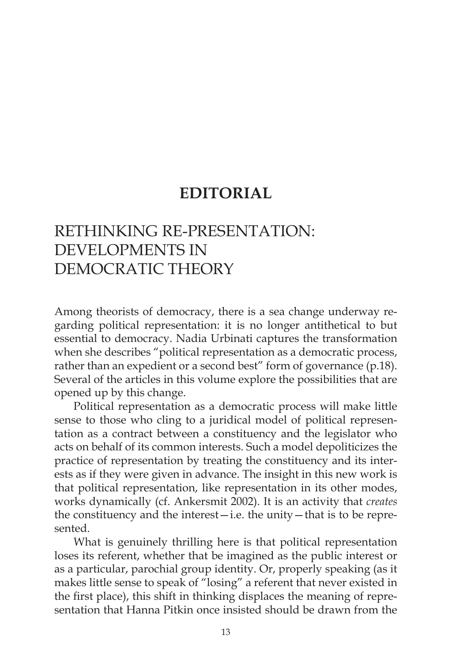# **EDITORIAL**

# RETHINKING RE-PRESENTATION: DEVELOPMENTS IN DEMOCRATIC THEORY

Among theorists of democracy, there is a sea change underway regarding political representation: it is no longer antithetical to but essential to democracy. Nadia Urbinati captures the transformation when she describes "political representation as a democratic process, rather than an expedient or a second best" form of governance (p.18). Several of the articles in this volume explore the possibilities that are opened up by this change.

Political representation as a democratic process will make little sense to those who cling to a juridical model of political representation as a contract between a constituency and the legislator who acts on behalf of its common interests. Such a model depoliticizes the practice of representation by treating the constituency and its interests as if they were given in advance. The insight in this new work is that political representation, like representation in its other modes, works dynamically (cf. Ankersmit 2002). It is an activity that *creates*  the constituency and the interest—i.e. the unity—that is to be represented.

What is genuinely thrilling here is that political representation loses its referent, whether that be imagined as the public interest or as a particular, parochial group identity. Or, properly speaking (as it makes little sense to speak of "losing" a referent that never existed in the first place), this shift in thinking displaces the meaning of representation that Hanna Pitkin once insisted should be drawn from the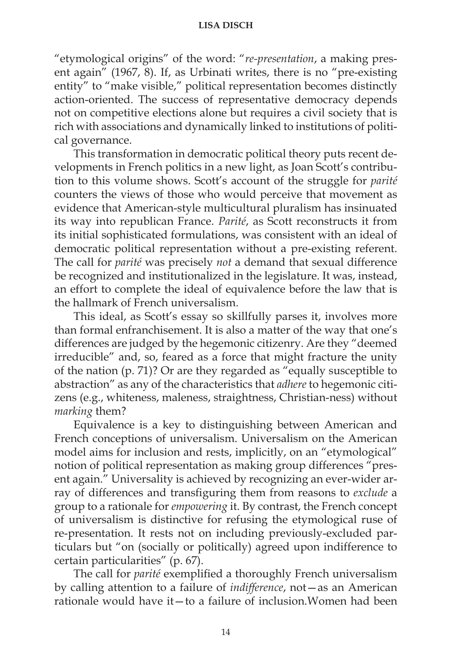"etymological origins" of the word: "*re-presentation*, a making present again" (1967, 8). If, as Urbinati writes, there is no "pre-existing entity" to "make visible," political representation becomes distinctly action-oriented. The success of representative democracy depends not on competitive elections alone but requires a civil society that is rich with associations and dynamically linked to institutions of political governance.

This transformation in democratic political theory puts recent developments in French politics in a new light, as Joan Scott's contribution to this volume shows. Scott's account of the struggle for *parité* counters the views of those who would perceive that movement as evidence that American-style multicultural pluralism has insinuated its way into republican France. *Parité*, as Scott reconstructs it from its initial sophisticated formulations, was consistent with an ideal of democratic political representation without a pre-existing referent. The call for *parité* was precisely *not* a demand that sexual difference be recognized and institutionalized in the legislature. It was, instead, an effort to complete the ideal of equivalence before the law that is the hallmark of French universalism.

This ideal, as Scott's essay so skillfully parses it, involves more than formal enfranchisement. It is also a matter of the way that one's differences are judged by the hegemonic citizenry. Are they "deemed irreducible" and, so, feared as a force that might fracture the unity of the nation (p. 71)? Or are they regarded as "equally susceptible to abstraction" as any of the characteristics that *adhere* to hegemonic citizens (e.g., whiteness, maleness, straightness, Christian-ness) without *marking* them?

Equivalence is a key to distinguishing between American and French conceptions of universalism. Universalism on the American model aims for inclusion and rests, implicitly, on an "etymological" notion of political representation as making group differences "present again." Universality is achieved by recognizing an ever-wider array of differences and transfiguring them from reasons to *exclude* a group to a rationale for *empowering* it. By contrast, the French concept of universalism is distinctive for refusing the etymological ruse of re-presentation. It rests not on including previously-excluded particulars but "on (socially or politically) agreed upon indifference to certain particularities" (p. 67).

The call for *parité* exemplified a thoroughly French universalism by calling attention to a failure of *indifference*, not—as an American rationale would have it—to a failure of inclusion.Women had been